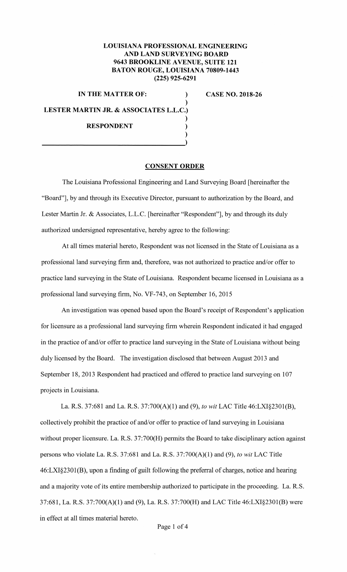## **LOUISIANA PROFESSIONAL ENGINEERING AND LAND SURVEYING BOARD 9643 BROOKLINE A VENUE, SUITE 121 BATON ROUGE, LOUISIANA 70809-1443 (225) 925-6291**

)

)

)

**IN THE MATTER OF:** ) **LESTER MARTIN JR.** & **ASSOCIATES L.L.C.) RESPONDENT** )

**CASE NO. 2018-26** 

## **CONSENT ORDER**

The Louisiana Professional Engineering and Land Surveying Board [hereinafter the "Board"], by and through its Executive Director, pursuant to authorization by the Board, and Lester Martin Jr. & Associates, L.L.C. [hereinafter "Respondent"], by and through its duly authorized undersigned representative, hereby agree to the following:

At all times material hereto, Respondent was not licensed in the State of Louisiana as a professional land surveying firm and, therefore, was not authorized to practice and/or offer to practice land surveying in the State of Louisiana. Respondent became licensed in Louisiana as a professional land surveying firm, No. VF-743, on September 16, 2015

An investigation was opened based upon the Board's receipt of Respondent's application for licensure as a professional land surveying firm wherein Respondent indicated it had engaged in the practice of and/or offer to practice land surveying in the State of Louisiana without being duly licensed by the Board. The investigation disclosed that between August 2013 and September 18, 2013 Respondent had practiced and offered to practice land surveying on 107 projects in Louisiana.

La. R.S. 37:681 and La. R.S. 37:700(A)(l) and (9), *to wit* LAC Title 46:LXI§2301(B), collectively prohibit the practice of and/or offer to practice of land surveying in Louisiana without proper licensure. La. **R.S.** 37:700(H) permits the Board to take disciplinary action against persons who violate La. R.S. 37:681 and La. R.S. 37:700(A)(l) and (9), *to wit* LAC Title 46:LXI§230l(B), upon a finding of guilt following the preferral of charges, notice and hearing and a majority vote of its entire membership authorized to participate in the proceeding. La. R.S. 37:681, La. R.S. 37:700(A)(l) and (9), La. R.S. 37:700(H) and LAC Title 46:LX1§2301(B) were in effect at all times material hereto.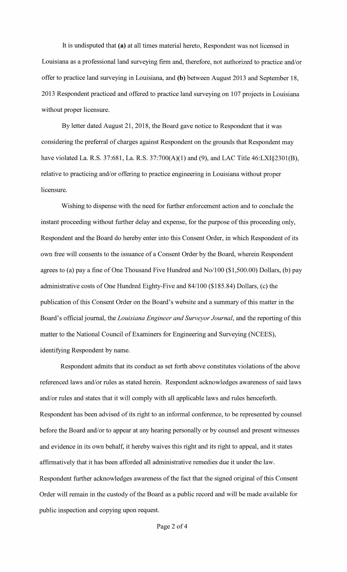It is undisputed that (a) at all times material hereto, Respondent was not licensed in Louisiana as a professional land surveying firm and, therefore, not authorized to practice and/or offer to practice land surveying in Louisiana, and (b) between August 2013 and September 18, 2013 Respondent practiced and offered to practice land surveying on 107 projects in Louisiana without proper licensure.

By letter dated August 21, 2018, the Board gave notice to Respondent that it was considering the preferral of charges against Respondent on the grounds that Respondent may have violated La. R.S. 37:681, La. R.S. 37:700(A)(1) and (9), and LAC Title 46:LXI§2301(B), relative to practicing and/or offering to practice engineering in Louisiana without proper licensure.

Wishing to dispense with the need for further enforcement action and to conclude the instant proceeding without further delay and expense, for the purpose of this proceeding only, Respondent and the Board do hereby enter into this Consent Order, in which Respondent of its own free will consents to the issuance of a Consent Order by the Board, wherein Respondent agrees to (a) pay a fine of One Thousand Five Hundred and No/100 (\$1,500.00) Dollars, (b) pay administrative costs of One Hundred Eighty-Five and 84/100 (\$185.84) Dollars, (c) the publication of this Consent Order on the Board's website and a summary of this matter in the Board's official journal, the *Louisiana Engineer and Surveyor Journal,* and the reporting of this matter to the National Council of Examiners for Engineering and Surveying (NCEES), identifying Respondent by name.

Respondent admits that its conduct as set forth above constitutes violations of the above referenced laws and/or rules as stated herein. Respondent acknowledges awareness of said laws and/or rules and states that it will comply with all applicable laws and rules henceforth. Respondent has been advised of its right to an informal conference, to be represented by counsel before the Board and/or to appear at any hearing personally or by counsel and present witnesses and evidence in its own behalf, it hereby waives this right and its right to appeal, and it states affirmatively that it has been afforded all administrative remedies due it under the law. Respondent further acknowledges awareness of the fact that the signed original of this Consent Order will remain in the custody of the Board as a public record and will be made available for public inspection and copying upon request.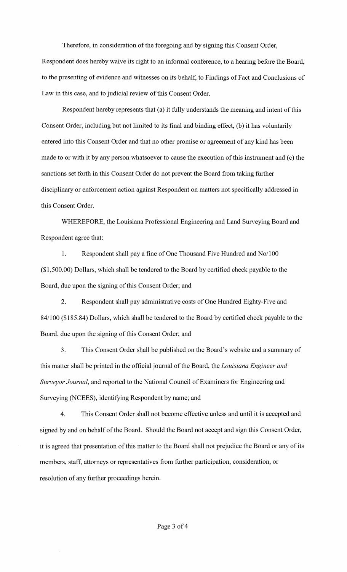Therefore, in consideration of the foregoing and by signing this Consent Order, Respondent does hereby waive its right to an informal conference, to a hearing before the Board, to the presenting of evidence and witnesses on its behalf, to Findings of Fact and Conclusions of Law in this case, and to judicial review of this Consent Order.

Respondent hereby represents that (a) it fully understands the meaning and intent of this Consent Order, including but not limited to its final and binding effect, (b) it has voluntarily entered into this Consent Order and that no other promise or agreement of any kind has been made to or with it by any person whatsoever to cause the execution of this instrument and (c) the sanctions set forth in this Consent Order do not prevent the Board from taking further disciplinary or enforcement action against Respondent on matters not specifically addressed in this Consent Order.

WHEREFORE, the Louisiana Professional Engineering and Land Surveying Board and Respondent agree that:

1. Respondent shall pay a fine of One Thousand Five Hundred and No/100 (\$1,500.00) Dollars, which shall be tendered to the Board by certified check payable to the Board, due upon the signing of this Consent Order; and

2. Respondent shall pay administrative costs of One Hundred Eighty-Five and 84/100 (\$185.84) Dollars, which shall be tendered to the Board by certified check payable to the Board, due upon the signing of this Consent Order; and

3. This Consent Order shall be published on the Board's website and a summary of this matter shall be printed in the official journal of the Board, the *Louisiana Engineer and Surveyor Journal,* and reported to the National Council of Examiners for Engineering and Surveying (NCEES), identifying Respondent by name; and

4. This Consent Order shall not become effective unless and until it is accepted and signed by and on behalf of the Board. Should the Board not accept and sign this Consent Order, it is agreed that presentation of this matter to the Board shall not prejudice the Board or any of its members, staff, attorneys or representatives from further participation, consideration, or resolution of any further proceedings herein.